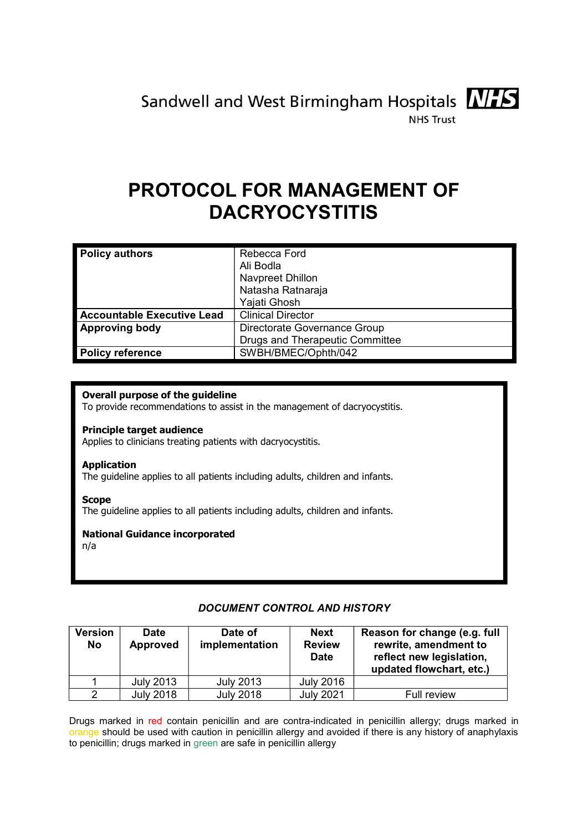Sandwell and West Birmingham Hospitals MIS



**NHS Trust** 

# PROTOCOL FOR MANAGEMENT OF DACRYOCYSTITIS

| <b>Policy authors</b>             | Rebecca Ford<br>Ali Bodla<br>Navpreet Dhillon<br>Natasha Ratnaraja<br>Yajati Ghosh |  |
|-----------------------------------|------------------------------------------------------------------------------------|--|
| <b>Accountable Executive Lead</b> | <b>Clinical Director</b>                                                           |  |
| <b>Approving body</b>             | Directorate Governance Group                                                       |  |
|                                   | Drugs and Therapeutic Committee                                                    |  |
| <b>Policy reference</b>           | SWBH/BMEC/Ophth/042                                                                |  |

### Overall purpose of the guideline

To provide recommendations to assist in the management of dacryocystitis.

#### Principle target audience

Applies to clinicians treating patients with dacryocystitis.

#### Application

The guideline applies to all patients including adults, children and infants.

#### Scope

The guideline applies to all patients including adults, children and infants.

#### National Guidance incorporated

n/a

# DOCUMENT CONTROL AND HISTORY

| <b>Version</b><br>No | <b>Date</b><br><b>Approved</b> | Date of<br>implementation | <b>Next</b><br><b>Review</b><br><b>Date</b> | Reason for change (e.g. full<br>rewrite, amendment to<br>reflect new legislation,<br>updated flowchart, etc.) |
|----------------------|--------------------------------|---------------------------|---------------------------------------------|---------------------------------------------------------------------------------------------------------------|
|                      | <b>July 2013</b>               | <b>July 2013</b>          | <b>July 2016</b>                            |                                                                                                               |
|                      | <b>July 2018</b>               | <b>July 2018</b>          | <b>July 2021</b>                            | Full review                                                                                                   |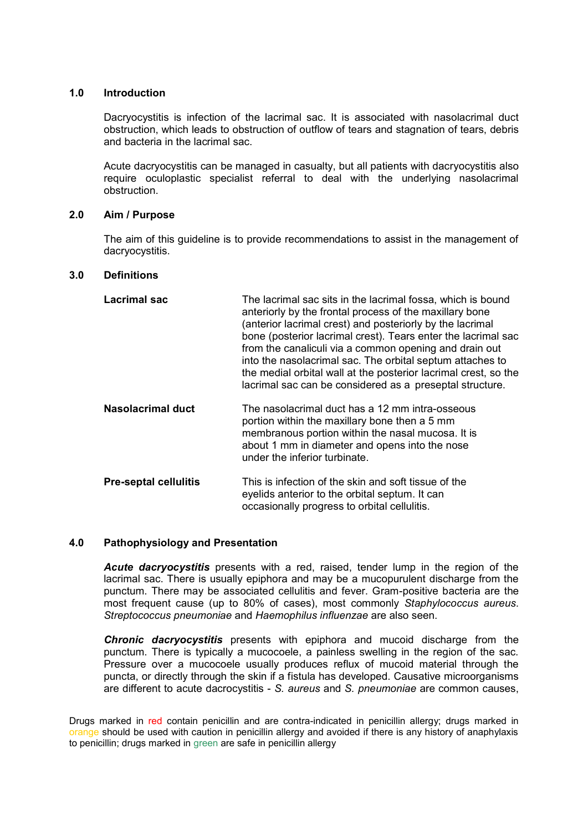#### 1.0 Introduction

 Dacryocystitis is infection of the lacrimal sac. It is associated with nasolacrimal duct obstruction, which leads to obstruction of outflow of tears and stagnation of tears, debris and bacteria in the lacrimal sac.

 Acute dacryocystitis can be managed in casualty, but all patients with dacryocystitis also require oculoplastic specialist referral to deal with the underlying nasolacrimal obstruction.

#### 2.0 Aim / Purpose

 The aim of this guideline is to provide recommendations to assist in the management of dacryocystitis.

#### 3.0 Definitions

| <b>Lacrimal sac</b>          | The lacrimal sac sits in the lacrimal fossa, which is bound<br>anteriorly by the frontal process of the maxillary bone<br>(anterior lacrimal crest) and posteriorly by the lacrimal<br>bone (posterior lacrimal crest). Tears enter the lacrimal sac<br>from the canaliculi via a common opening and drain out<br>into the nasolacrimal sac. The orbital septum attaches to<br>the medial orbital wall at the posterior lacrimal crest, so the<br>lacrimal sac can be considered as a preseptal structure. |
|------------------------------|------------------------------------------------------------------------------------------------------------------------------------------------------------------------------------------------------------------------------------------------------------------------------------------------------------------------------------------------------------------------------------------------------------------------------------------------------------------------------------------------------------|
| <b>Nasolacrimal duct</b>     | The nasolacrimal duct has a 12 mm intra-osseous<br>portion within the maxillary bone then a 5 mm<br>membranous portion within the nasal mucosa. It is<br>about 1 mm in diameter and opens into the nose<br>under the inferior turbinate.                                                                                                                                                                                                                                                                   |
| <b>Pre-septal cellulitis</b> | This is infection of the skin and soft tissue of the<br>eyelids anterior to the orbital septum. It can<br>occasionally progress to orbital cellulitis.                                                                                                                                                                                                                                                                                                                                                     |

#### 4.0 Pathophysiology and Presentation

Acute dacryocystitis presents with a red, raised, tender lump in the region of the lacrimal sac. There is usually epiphora and may be a mucopurulent discharge from the punctum. There may be associated cellulitis and fever. Gram-positive bacteria are the most frequent cause (up to 80% of cases), most commonly Staphylococcus aureus. Streptococcus pneumoniae and Haemophilus influenzae are also seen.

**Chronic dacryocystitis** presents with epiphora and mucoid discharge from the punctum. There is typically a mucocoele, a painless swelling in the region of the sac. Pressure over a mucocoele usually produces reflux of mucoid material through the puncta, or directly through the skin if a fistula has developed. Causative microorganisms are different to acute dacrocystitis - S. aureus and S. pneumoniae are common causes,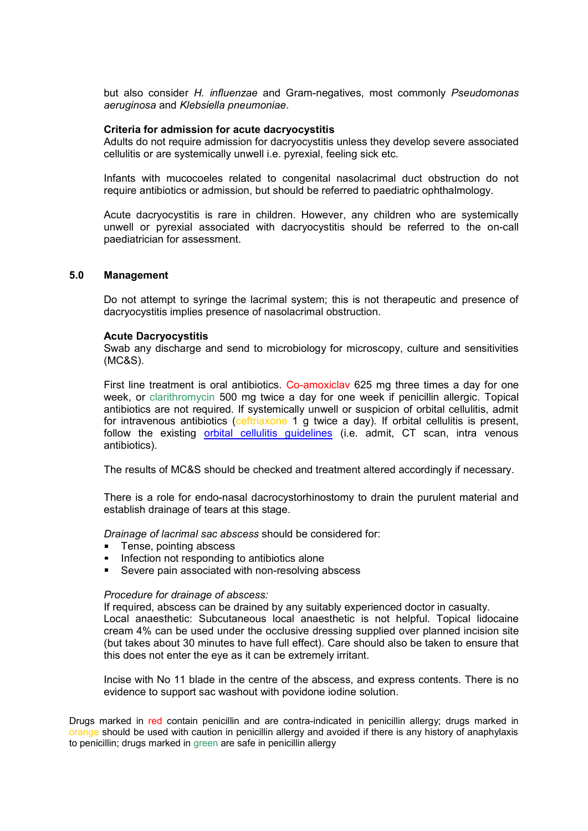but also consider H. influenzae and Gram-negatives, most commonly Pseudomonas aeruginosa and Klebsiella pneumoniae.

#### Criteria for admission for acute dacryocystitis

Adults do not require admission for dacryocystitis unless they develop severe associated cellulitis or are systemically unwell i.e. pyrexial, feeling sick etc.

Infants with mucocoeles related to congenital nasolacrimal duct obstruction do not require antibiotics or admission, but should be referred to paediatric ophthalmology.

Acute dacryocystitis is rare in children. However, any children who are systemically unwell or pyrexial associated with dacryocystitis should be referred to the on-call paediatrician for assessment.

#### 5.0 Management

Do not attempt to syringe the lacrimal system; this is not therapeutic and presence of dacryocystitis implies presence of nasolacrimal obstruction.

#### Acute Dacryocystitis

Swab any discharge and send to microbiology for microscopy, culture and sensitivities (MC&S).

First line treatment is oral antibiotics. Co-amoxiclay 625 mg three times a day for one week, or clarithromycin 500 mg twice a day for one week if penicillin allergic. Topical antibiotics are not required. If systemically unwell or suspicion of orbital cellulitis, admit for intravenous antibiotics (ceftriaxone 1 g twice a day). If orbital cellulitis is present, follow the existing orbital cellulitis quidelines (i.e. admit, CT scan, intra venous antibiotics).

The results of MC&S should be checked and treatment altered accordingly if necessary.

There is a role for endo-nasal dacrocystorhinostomy to drain the purulent material and establish drainage of tears at this stage.

Drainage of lacrimal sac abscess should be considered for:

- Tense, pointing abscess
- Infection not responding to antibiotics alone
- Severe pain associated with non-resolving abscess

#### Procedure for drainage of abscess:

If required, abscess can be drained by any suitably experienced doctor in casualty. Local anaesthetic: Subcutaneous local anaesthetic is not helpful. Topical lidocaine cream 4% can be used under the occlusive dressing supplied over planned incision site (but takes about 30 minutes to have full effect). Care should also be taken to ensure that this does not enter the eye as it can be extremely irritant.

Incise with No 11 blade in the centre of the abscess, and express contents. There is no evidence to support sac washout with povidone iodine solution.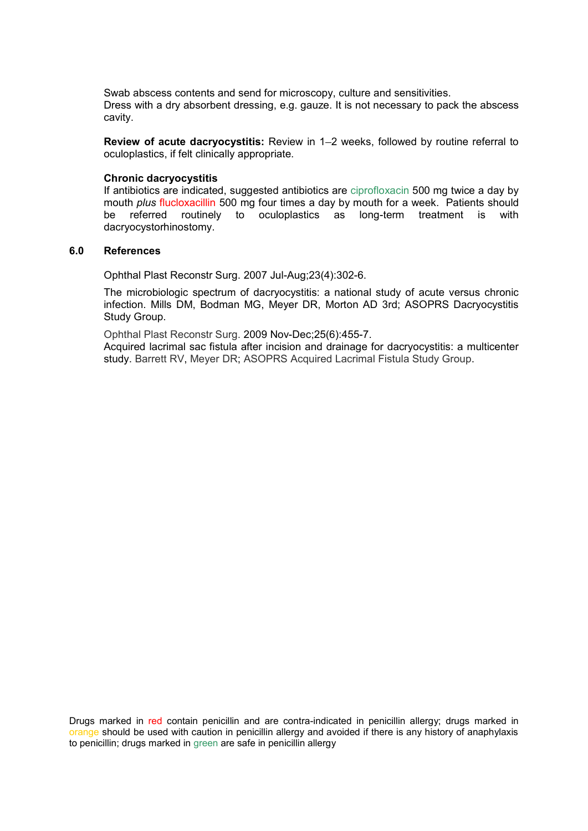Swab abscess contents and send for microscopy, culture and sensitivities. Dress with a dry absorbent dressing, e.g. gauze. It is not necessary to pack the abscess cavity.

Review of acute dacryocystitis: Review in 1-2 weeks, followed by routine referral to oculoplastics, if felt clinically appropriate.

#### Chronic dacryocystitis

If antibiotics are indicated, suggested antibiotics are ciprofloxacin 500 mg twice a day by mouth *plus* flucloxacillin 500 mg four times a day by mouth for a week. Patients should be referred routinely to oculoplastics as long-term treatment is with dacryocystorhinostomy.

#### 6.0 References

Ophthal Plast Reconstr Surg. 2007 Jul-Aug;23(4):302-6.

The microbiologic spectrum of dacryocystitis: a national study of acute versus chronic infection. Mills DM, Bodman MG, Meyer DR, Morton AD 3rd; ASOPRS Dacryocystitis Study Group.

Ophthal Plast Reconstr Surg. 2009 Nov-Dec;25(6):455-7.

Acquired lacrimal sac fistula after incision and drainage for dacryocystitis: a multicenter study. Barrett RV, Meyer DR; ASOPRS Acquired Lacrimal Fistula Study Group.